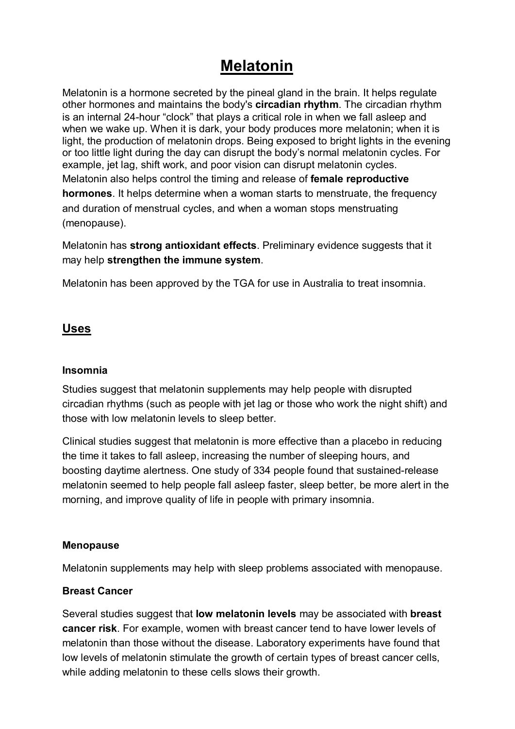# **Melatonin**

Melatonin is a hormone secreted by the pineal gland in the brain. It helps regulate other hormones and maintains the body's circadian rhythm. The circadian rhythm is an internal 24-hour "clock" that plays a critical role in when we fall asleep and when we wake up. When it is dark, your body produces more melatonin; when it is light, the production of melatonin drops. Being exposed to bright lights in the evening or too little light during the day can disrupt the body's normal melatonin cycles. For example, jet lag, shift work, and poor vision can disrupt melatonin cycles. Melatonin also helps control the timing and release of female reproductive hormones. It helps determine when a woman starts to menstruate, the frequency and duration of menstrual cycles, and when a woman stops menstruating (menopause).

Melatonin has strong antioxidant effects. Preliminary evidence suggests that it may help strengthen the immune system.

Melatonin has been approved by the TGA for use in Australia to treat insomnia.

# Uses

#### Insomnia

Studies suggest that melatonin supplements may help people with disrupted circadian rhythms (such as people with jet lag or those who work the night shift) and those with low melatonin levels to sleep better.

Clinical studies suggest that melatonin is more effective than a placebo in reducing the time it takes to fall asleep, increasing the number of sleeping hours, and boosting daytime alertness. One study of 334 people found that sustained-release melatonin seemed to help people fall asleep faster, sleep better, be more alert in the morning, and improve quality of life in people with primary insomnia.

#### Menopause

Melatonin supplements may help with sleep problems associated with menopause.

#### Breast Cancer

Several studies suggest that low melatonin levels may be associated with breast cancer risk. For example, women with breast cancer tend to have lower levels of melatonin than those without the disease. Laboratory experiments have found that low levels of melatonin stimulate the growth of certain types of breast cancer cells, while adding melatonin to these cells slows their growth.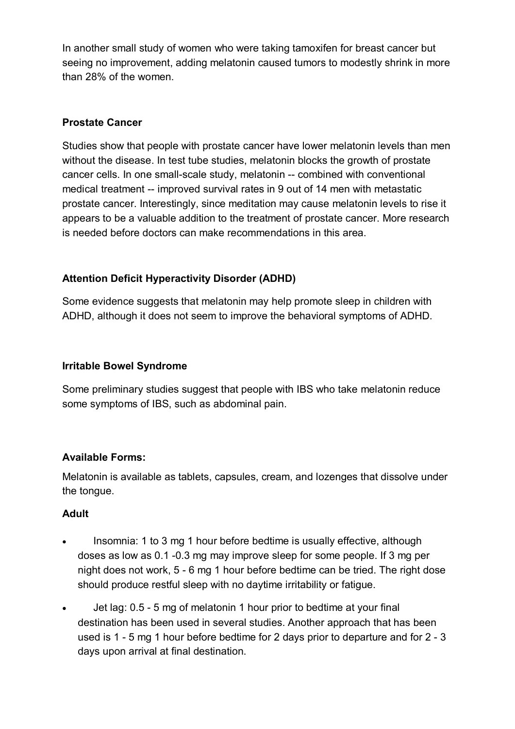In another small study of women who were taking tamoxifen for breast cancer but seeing no improvement, adding melatonin caused tumors to modestly shrink in more than 28% of the women.

# Prostate Cancer

Studies show that people with prostate cancer have lower melatonin levels than men without the disease. In test tube studies, melatonin blocks the growth of prostate cancer cells. In one small-scale study, melatonin -- combined with conventional medical treatment -- improved survival rates in 9 out of 14 men with metastatic prostate cancer. Interestingly, since meditation may cause melatonin levels to rise it appears to be a valuable addition to the treatment of prostate cancer. More research is needed before doctors can make recommendations in this area.

# Attention Deficit Hyperactivity Disorder (ADHD)

Some evidence suggests that melatonin may help promote sleep in children with ADHD, although it does not seem to improve the behavioral symptoms of ADHD.

## Irritable Bowel Syndrome

Some preliminary studies suggest that people with IBS who take melatonin reduce some symptoms of IBS, such as abdominal pain.

## Available Forms:

Melatonin is available as tablets, capsules, cream, and lozenges that dissolve under the tongue.

## Adult

- Insomnia: 1 to 3 mg 1 hour before bedtime is usually effective, although doses as low as 0.1 -0.3 mg may improve sleep for some people. If 3 mg per night does not work, 5 - 6 mg 1 hour before bedtime can be tried. The right dose should produce restful sleep with no daytime irritability or fatigue.
- Jet lag: 0.5 5 mg of melatonin 1 hour prior to bedtime at your final destination has been used in several studies. Another approach that has been used is 1 - 5 mg 1 hour before bedtime for 2 days prior to departure and for 2 - 3 days upon arrival at final destination.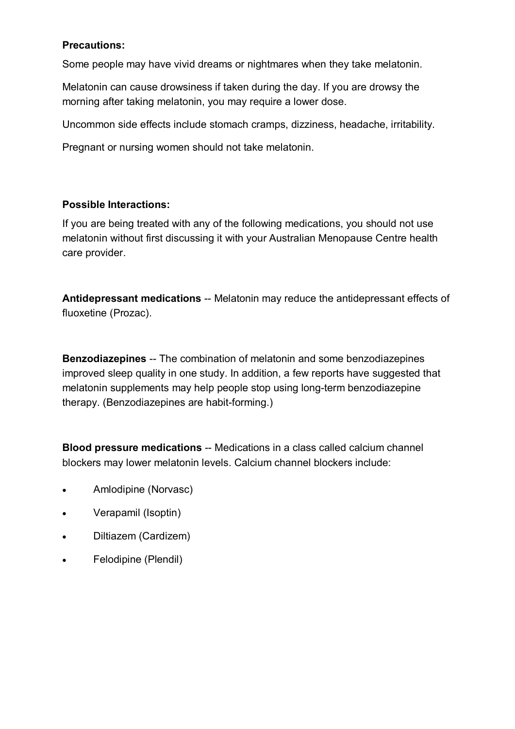#### Precautions:

Some people may have vivid dreams or nightmares when they take melatonin.

Melatonin can cause drowsiness if taken during the day. If you are drowsy the morning after taking melatonin, you may require a lower dose.

Uncommon side effects include stomach cramps, dizziness, headache, irritability.

Pregnant or nursing women should not take melatonin.

#### Possible Interactions:

If you are being treated with any of the following medications, you should not use melatonin without first discussing it with your Australian Menopause Centre health care provider.

Antidepressant medications -- Melatonin may reduce the antidepressant effects of fluoxetine (Prozac).

Benzodiazepines -- The combination of melatonin and some benzodiazepines improved sleep quality in one study. In addition, a few reports have suggested that melatonin supplements may help people stop using long-term benzodiazepine therapy. (Benzodiazepines are habit-forming.)

Blood pressure medications -- Medications in a class called calcium channel blockers may lower melatonin levels. Calcium channel blockers include:

- Amlodipine (Norvasc)
- Verapamil (Isoptin)
- Diltiazem (Cardizem)
- Felodipine (Plendil)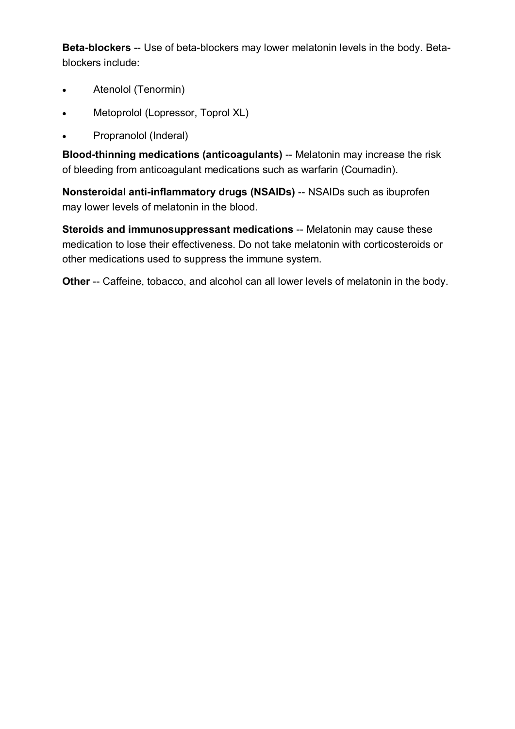Beta-blockers -- Use of beta-blockers may lower melatonin levels in the body. Betablockers include:

- Atenolol (Tenormin)
- Metoprolol (Lopressor, Toprol XL)
- Propranolol (Inderal)

Blood-thinning medications (anticoagulants) -- Melatonin may increase the risk of bleeding from anticoagulant medications such as warfarin (Coumadin).

Nonsteroidal anti-inflammatory drugs (NSAIDs) -- NSAIDs such as ibuprofen may lower levels of melatonin in the blood.

Steroids and immunosuppressant medications -- Melatonin may cause these medication to lose their effectiveness. Do not take melatonin with corticosteroids or other medications used to suppress the immune system.

Other -- Caffeine, tobacco, and alcohol can all lower levels of melatonin in the body.